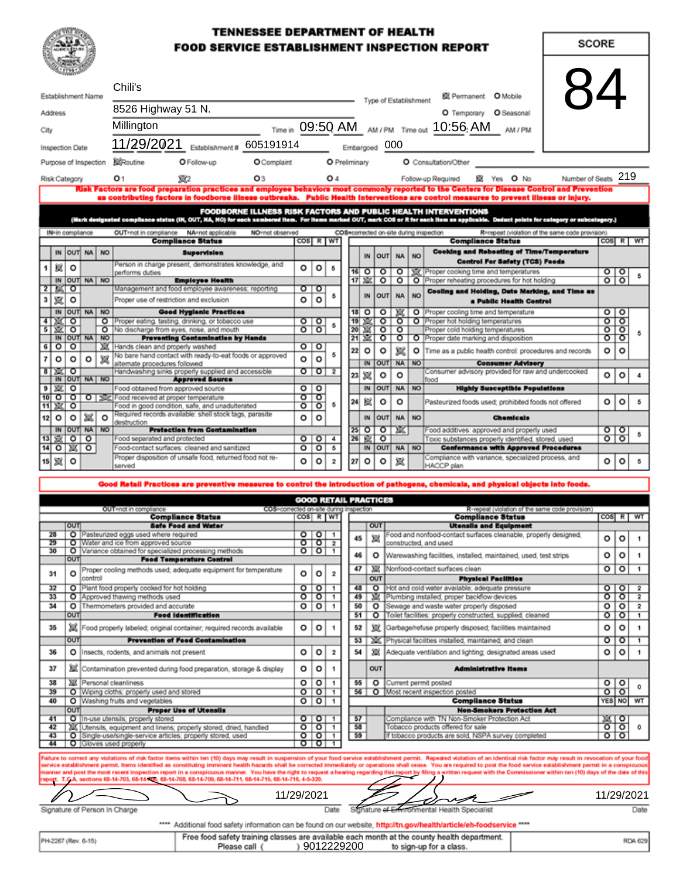## **TENNESSEE DEPARTMENT OF HEALTH FOOD SERVICE ESTABLISHMENT INSPECTION REPORT**

SCORE

| Chili's<br>Establishment Name |                                                                                                  |                       |         |              |                                                                                                                                                                                                                                                                                       |                    |                                 |     |               | Type of Establishment |                    | 84<br><b>配 Permanent</b> O Mobile |           |                                                                                            |                    |                    |          |
|-------------------------------|--------------------------------------------------------------------------------------------------|-----------------------|---------|--------------|---------------------------------------------------------------------------------------------------------------------------------------------------------------------------------------------------------------------------------------------------------------------------------------|--------------------|---------------------------------|-----|---------------|-----------------------|--------------------|-----------------------------------|-----------|--------------------------------------------------------------------------------------------|--------------------|--------------------|----------|
|                               | Address                                                                                          |                       |         |              | 8526 Highway 51 N.                                                                                                                                                                                                                                                                    |                    |                                 |     |               |                       |                    |                                   |           | O Temporary<br>O Seasonal                                                                  |                    |                    |          |
| City                          |                                                                                                  |                       |         |              | Millington                                                                                                                                                                                                                                                                            |                    |                                 |     |               |                       |                    |                                   |           | Time in 09:50 AM_ AM/PM Time out 10:56; AM_<br>AM / PM                                     |                    |                    |          |
|                               |                                                                                                  | Inspection Date       |         |              | 11/29/2021<br>605191914<br>Establishment #                                                                                                                                                                                                                                            |                    |                                 |     | Embargoed 000 |                       |                    |                                   |           |                                                                                            |                    |                    |          |
|                               |                                                                                                  | Purpose of Inspection |         |              | <b>KRoutine</b><br>O Follow-up<br>O Complaint                                                                                                                                                                                                                                         |                    |                                 |     | O Preliminary |                       |                    |                                   |           | O Consultation/Other                                                                       |                    |                    |          |
|                               |                                                                                                  | Risk Category         |         |              | SEC2<br>O3<br>O <sub>1</sub>                                                                                                                                                                                                                                                          |                    |                                 | O 4 |               |                       |                    |                                   |           | Number of Seats 219<br>赋 Yes O No<br>Follow-up Required                                    |                    |                    |          |
|                               |                                                                                                  |                       |         |              | Risk Factors are food preparation practices and employee behaviors most commonly reported to the Centers for Disease Control and Prevention<br>as contributing factors in foodborne illness outbreaks. Public Health Interventions are control measures to prevent illness or injury. |                    |                                 |     |               |                       |                    |                                   |           |                                                                                            |                    |                    |          |
|                               |                                                                                                  |                       |         |              | <b>FOODBORNE ILLNESS RISK FACTORS AND PUBLIC HEALTH INTERVENTIONS</b><br>(Mark designated compliance status (IN, OUT, NA, NO) for each numbered item. For items marked OUT, mark COS or R for each item as applicable. Deduct points for category or subcategory.)                    |                    |                                 |     |               |                       |                    |                                   |           |                                                                                            |                    |                    |          |
|                               |                                                                                                  | IN-in compliance      |         |              | OUT=not in compliance NA=not applicable<br>NO=not observed                                                                                                                                                                                                                            |                    |                                 |     |               |                       |                    |                                   |           | COS=corrected on-site during inspection<br>R=repeat (violation of the same code provision) |                    |                    |          |
|                               |                                                                                                  |                       |         |              | <b>Compliance Status</b>                                                                                                                                                                                                                                                              | $cos$ R $ WT$      |                                 |     |               |                       |                    |                                   |           | <b>Compliance Status</b>                                                                   |                    |                    | COS R WT |
|                               |                                                                                                  |                       |         | IN OUT NA NO | <b>Supervision</b>                                                                                                                                                                                                                                                                    |                    |                                 |     |               | IN                    | OUT                | <b>NA</b>                         | I NO      | <b>Cooking and Reheating of Time/Temperature</b><br><b>Control For Safety (TCS) Foods</b>  |                    |                    |          |
|                               | 鮲                                                                                                | о                     |         |              | Person in charge present, demonstrates knowledge, and<br>performs duties                                                                                                                                                                                                              | o                  | o                               | 5   |               | $16$ O                | $\circ$            | $\circ$                           |           | Silk Proper cooking time and temperatures                                                  |                    |                    |          |
|                               |                                                                                                  |                       |         | IN OUT NA NO | <b>Employee Health</b>                                                                                                                                                                                                                                                                |                    |                                 |     |               | 17 2%                 | $\circ$            | $\circ$                           |           | O Proper reheating procedures for hot holding                                              |                    | 위위                 |          |
|                               | 2 । अन्वय                                                                                        |                       |         |              | Management and food employee awareness; reporting                                                                                                                                                                                                                                     |                    | ०ा०                             |     |               | IN                    | OUT NA             |                                   | <b>NO</b> | Cooling and Holding, Date Marking, and Time as                                             |                    |                    |          |
| 3                             | 宸                                                                                                | $\circ$               |         |              | Proper use of restriction and exclusion                                                                                                                                                                                                                                               | ۰                  | o                               |     |               |                       |                    |                                   |           | a Public Health Control                                                                    |                    |                    |          |
|                               |                                                                                                  |                       |         | IN OUT NA NO | <b>Good Hygienic Practices</b>                                                                                                                                                                                                                                                        |                    |                                 |     |               | $18$ O                | $\circ$            | XX                                |           | O Proper cooling time and temperature                                                      |                    | $\circ$   $\circ$  |          |
| 4                             | $\sum$                                                                                           | $\circ$               |         |              | O Proper eating, tasting, drinking, or tobacco use                                                                                                                                                                                                                                    |                    | $\circ$ To                      | 5   | 19            | x                     | ᠳ                  | ு                                 |           | O Proper hot holding temperatures                                                          | ত                  | াতা                |          |
| $\overline{5}$                | X 0                                                                                              |                       |         |              | O No discharge from eyes, nose, and mouth                                                                                                                                                                                                                                             |                    | $\circ$ $\circ$                 |     |               | $20 - 25$             | $\overline{\circ}$ | ৽                                 |           | Proper cold holding temperatures                                                           | $\overline{\circ}$ | $\overline{\circ}$ | 5        |
|                               |                                                                                                  |                       |         | IN OUT NA NO | <b>Preventing Centamination by Hands</b>                                                                                                                                                                                                                                              |                    |                                 |     |               | 21 减                  | ०                  | ०                                 |           | O Proper date marking and disposition                                                      | ०                  | ত                  |          |
| 6                             | তা                                                                                               | ৽                     |         |              | Hands clean and properly washed<br>No bare hand contact with ready-to-eat foods or approved                                                                                                                                                                                           | 0 0                |                                 | 5   | 22            | $\circ$               | ۰                  | 冥                                 | ۰         | Time as a public health control: procedures and records                                    | ۰                  | $\circ$            |          |
|                               | $\circ$                                                                                          | o                     | $\circ$ | 冠            | alternate procedures followed                                                                                                                                                                                                                                                         | o                  | Ō                               |     |               |                       |                    | IN OUT NA NO                      |           | <b>Consumer Advisory</b>                                                                   |                    |                    |          |
|                               | ঃ⊺≋া⊙                                                                                            |                       |         | IN OUT NA NO | Handwashing sinks properly supplied and accessible<br><b>Approved Source</b>                                                                                                                                                                                                          |                    | $\circ$ $\circ$ $\circ$ $\circ$ |     | 23            | 冥                     | o                  | $\circ$                           |           | Consumer advisory provided for raw and undercooked<br>food                                 | ٥                  | $\circ$            |          |
| 9                             | 塞口                                                                                               |                       |         |              | Food obtained from approved source                                                                                                                                                                                                                                                    | o <sub>1</sub>     |                                 |     |               | IN                    | <b>OUT</b>         | NA NO                             |           | <b>Highly Susceptible Populations</b>                                                      |                    |                    |          |
|                               |                                                                                                  |                       |         |              | 10 0 0 0 3 Sc Food received at proper temperature                                                                                                                                                                                                                                     | ०                  | ᠊ᢐ                              |     |               |                       |                    |                                   |           |                                                                                            |                    |                    |          |
|                               | 11 文                                                                                             | ৹                     |         |              | Food in good condition, safe, and unadulterated                                                                                                                                                                                                                                       | $\overline{\circ}$ | ত                               | 5   | 24            | 獄                     | ۰                  | $\circ$                           |           | Pasteurized foods used; prohibited foods not offered                                       | ۰                  | $\circ$            |          |
| 12                            | $\circ$                                                                                          | $\circ$               | ХX      | $\circ$      | Required records available: shell stock tags, parasite<br>destruction                                                                                                                                                                                                                 | o                  | $\circ$                         |     |               | IN                    | OUT                | <b>NA</b>                         | <b>NO</b> | <b>Chemicals</b>                                                                           |                    |                    |          |
|                               |                                                                                                  |                       |         | IN OUT NA NO | <b>Protection from Contamination</b>                                                                                                                                                                                                                                                  |                    |                                 |     |               | $25$ O                | $\circ$            | DK.                               |           | Food additives: approved and properly used                                                 |                    | 위원                 |          |
|                               |                                                                                                  | 13 実 0 0              |         |              | Food separated and protected                                                                                                                                                                                                                                                          |                    | 0 0 4                           |     |               | 26 家                  | ō                  |                                   |           | Toxic substances properly identified, stored, used                                         |                    |                    |          |
|                               |                                                                                                  | $14$ 0 $\sqrt{3}$ 0   |         |              | Food-contact surfaces: cleaned and sanitized                                                                                                                                                                                                                                          |                    | $O$ $O$ $s$                     |     |               | IN                    | OUT                | NA NO                             |           | <b>Conformance with Approved Procedures</b>                                                |                    |                    |          |
|                               | 15 观 0                                                                                           |                       |         |              | Proper disposition of unsafe food, returned food not re-<br>served                                                                                                                                                                                                                    | о                  | 0 2                             |     |               | 200                   | v                  | ∣#≼                               |           | Compliance with variance, specialized process, and<br>HACCP plan                           | o                  | $\circ$            | $\circ$  |
|                               |                                                                                                  |                       |         |              | Good Retail Practices are preventive measures to control the introduction of pathogens, chemicals, and physical objects into foods.                                                                                                                                                   |                    |                                 |     |               |                       |                    |                                   |           |                                                                                            |                    |                    |          |
|                               |                                                                                                  |                       |         |              |                                                                                                                                                                                                                                                                                       |                    |                                 |     |               |                       |                    |                                   |           |                                                                                            |                    |                    |          |
|                               | <b>GOOD RETAIL PRACTICES</b><br>COS=corrected on-site during inspection<br>OUT=not in compliance |                       |         |              |                                                                                                                                                                                                                                                                                       |                    |                                 |     |               |                       |                    |                                   |           |                                                                                            |                    |                    |          |
|                               |                                                                                                  |                       |         |              | <b>Compliance Status</b>                                                                                                                                                                                                                                                              |                    | $\cos$ R $ $ WT                 |     |               |                       |                    |                                   |           | R-repeat (violation of the same code provision)<br><b>Compliance Status</b>                |                    |                    | COS R WT |
|                               |                                                                                                  | OUT                   |         |              | <b>Safe Food and Water</b>                                                                                                                                                                                                                                                            |                    |                                 |     |               |                       | OUT                |                                   |           | <b>Utensils and Equipment</b>                                                              |                    |                    |          |
| 28                            |                                                                                                  |                       |         |              | O Pasteurized eggs used where required                                                                                                                                                                                                                                                |                    | 0 0 1                           |     |               | 45                    | 冦                  |                                   |           | Food and nonfood-contact surfaces cleanable, properly designed,                            | ٥                  | ۰                  | 1        |
|                               | 29<br>30                                                                                         |                       |         |              | O Water and ice from approved source                                                                                                                                                                                                                                                  |                    | $\delta$ $\delta$ $\frac{1}{2}$ |     |               |                       |                    |                                   |           | constructed, and used                                                                      |                    |                    |          |
|                               |                                                                                                  | OUT                   |         |              | O Variance obtained for specialized processing methods<br><b>Food Temperature Control</b>                                                                                                                                                                                             |                    | 0 0 1                           |     |               | 46                    | o                  |                                   |           | Warewashing facilities, installed, maintained, used, test strips                           | ٥                  | ٥                  | 1        |
|                               |                                                                                                  |                       |         |              | Proper cooling methods used; adequate equipment for temperature                                                                                                                                                                                                                       |                    |                                 |     | 47            |                       | tas                |                                   |           | Nonfood-contact surfaces clean                                                             | ۰                  | $\circ$            | 1        |
| 31                            |                                                                                                  | ٥                     | lotingo |              |                                                                                                                                                                                                                                                                                       | o                  | o                               | 2   |               |                       | OUT                |                                   |           | <b>Physical Facilities</b>                                                                 |                    |                    |          |

| 32    | o       | Plant food properly cooked for hot holding                                                                    | o       | o                       |   |                          | 48<br>o | Hot and cold water available; adequate pressure                                                                                                                                                                                                                                                                                                                                                                                                                                                                                                                                                                                                                                                    | o       | o               |            |
|-------|---------|---------------------------------------------------------------------------------------------------------------|---------|-------------------------|---|--------------------------|---------|----------------------------------------------------------------------------------------------------------------------------------------------------------------------------------------------------------------------------------------------------------------------------------------------------------------------------------------------------------------------------------------------------------------------------------------------------------------------------------------------------------------------------------------------------------------------------------------------------------------------------------------------------------------------------------------------------|---------|-----------------|------------|
| 33    |         | O Approved thawing methods used                                                                               | ०       | তা                      |   |                          | 49      | Plumbing installed; proper backflow devices                                                                                                                                                                                                                                                                                                                                                                                                                                                                                                                                                                                                                                                        | $\circ$ | ०               |            |
| 34    | $\circ$ | Thermometers provided and accurate                                                                            | o       | $\circ$                 |   |                          | 50      | Sewage and waste water properly disposed<br>o                                                                                                                                                                                                                                                                                                                                                                                                                                                                                                                                                                                                                                                      | ٥       | o               |            |
|       | OUT     | <b>Food Identification</b>                                                                                    |         |                         |   |                          | 51      | O Toilet facilities: properly constructed, supplied, cleaned                                                                                                                                                                                                                                                                                                                                                                                                                                                                                                                                                                                                                                       | ۰       | $\circ$         |            |
| 35    |         | Food properly labeled; original container; required records available                                         | o       | $\circ$                 |   |                          | 52      | Garbage/refuse properly disposed; facilities maintained                                                                                                                                                                                                                                                                                                                                                                                                                                                                                                                                                                                                                                            | o       | o               |            |
|       | OUT     | <b>Prevention of Feed Contamination</b>                                                                       |         |                         |   |                          | 53      | Physical facilities installed, maintained, and clean                                                                                                                                                                                                                                                                                                                                                                                                                                                                                                                                                                                                                                               | ᠦ       | ०               |            |
| 36    |         | O linsects, rodents, and animals not present                                                                  | o       | $\perp$ O $\perp$       | 2 |                          | 54      | Adequate ventilation and lighting; designated areas used                                                                                                                                                                                                                                                                                                                                                                                                                                                                                                                                                                                                                                           | ۰       | $\circ$         |            |
| 37    |         | Contamination prevented during food preparation, storage & display                                            | o       | ۰                       |   |                          | OUT     | <b>Administrative Items</b>                                                                                                                                                                                                                                                                                                                                                                                                                                                                                                                                                                                                                                                                        |         |                 |            |
| 38    |         | Personal cleanliness                                                                                          | o       | ٥                       |   |                          | 55      | o<br>Current permit posted                                                                                                                                                                                                                                                                                                                                                                                                                                                                                                                                                                                                                                                                         | o       | $\circ$         |            |
| 39    |         | O Wiping cloths; properly used and stored                                                                     | ०       | ०                       |   |                          |         | 56   O Most recent inspection posted                                                                                                                                                                                                                                                                                                                                                                                                                                                                                                                                                                                                                                                               |         | $\circ$ $\circ$ |            |
|       |         |                                                                                                               |         |                         |   | <b>Compliance Status</b> |         |                                                                                                                                                                                                                                                                                                                                                                                                                                                                                                                                                                                                                                                                                                    |         |                 |            |
| 40    |         | O Washing fruits and vegetables                                                                               |         | 0 0                     |   |                          |         |                                                                                                                                                                                                                                                                                                                                                                                                                                                                                                                                                                                                                                                                                                    |         | YES NO WT       |            |
|       | OUT     | <b>Proper Use of Utensils</b>                                                                                 |         |                         |   |                          |         | <b>Non-Smokers Protection Act</b>                                                                                                                                                                                                                                                                                                                                                                                                                                                                                                                                                                                                                                                                  |         |                 |            |
| $-41$ |         | O lin-use utensils; properly stored                                                                           |         | ०ा०ा                    |   |                          | 57      | Compliance with TN Non-Smoker Protection Act                                                                                                                                                                                                                                                                                                                                                                                                                                                                                                                                                                                                                                                       | ≋ा०     |                 |            |
| 42    |         | If Utensils, equipment and linens; properly stored, dried, handled                                            | $\circ$ | $\circ$                 |   |                          | 58      | Tobacco products offered for sale                                                                                                                                                                                                                                                                                                                                                                                                                                                                                                                                                                                                                                                                  | $\circ$ | ৹               |            |
| 43    |         | O Single-use/single-service articles; properly stored, used                                                   | $\circ$ | $\circ$                 |   |                          | 59      | If tobacco products are sold. NSPA survey completed                                                                                                                                                                                                                                                                                                                                                                                                                                                                                                                                                                                                                                                |         | $\circ$ $\circ$ |            |
| -44   |         | O Gloves used properly                                                                                        |         | $\circ$ $\circ$ $\circ$ |   |                          |         |                                                                                                                                                                                                                                                                                                                                                                                                                                                                                                                                                                                                                                                                                                    |         |                 |            |
|       |         | report. T.C.A. sections 68-14-703, 68-14-706, 68-14-708, 68-14-709, 68-14-711, 68-14-715, 68-14-716, 4-5-320. |         |                         |   |                          |         | Failure to correct any violations of risk factor items within ten (10) days may result in suspension of your food service establishment permit. Repeated violation of an identical risk factor may result in revocation of you<br>service establishment permit. Items identified as constituting imminent health hazards shall be corrected immediately or operations shall cease. You are required to post the food service establishment permit in a conspicuo<br>manner and post the most recent inspection report in a conspicuous manner. You have the right to request a hearing regarding this report by filing a written request with the Commissioner within ten (10) days of the date of |         |                 |            |
|       |         | 11/29/2021                                                                                                    |         |                         |   |                          |         | Signature of Environmental Health Specialist                                                                                                                                                                                                                                                                                                                                                                                                                                                                                                                                                                                                                                                       |         |                 | 11/29/2021 |

| **** Additional food safety information can be found on our website, http://tn.gow/health/article/eh-foodservice **** |  |
|-----------------------------------------------------------------------------------------------------------------------|--|
|-----------------------------------------------------------------------------------------------------------------------|--|

| PH-2267 (Rev. 6-15) |             |            | Free food safety training classes are available each month at the county health department. | RDA 629 |
|---------------------|-------------|------------|---------------------------------------------------------------------------------------------|---------|
|                     | Please call | 9012229200 | to sign-up for a class.                                                                     |         |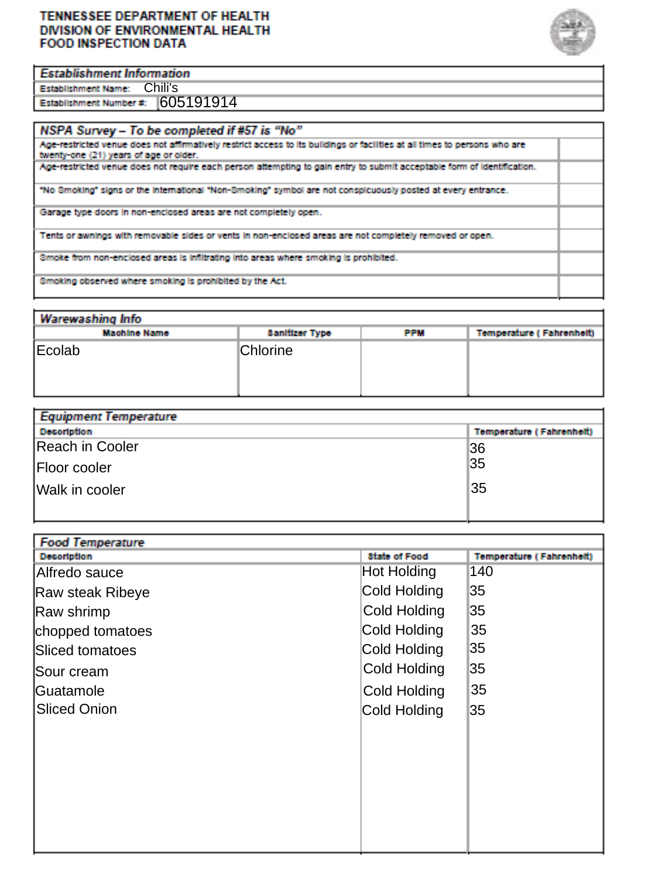#### **TENNESSEE DEPARTMENT OF HEALTH** DIVISION OF ENVIRONMENTAL HEALTH **FOOD INSPECTION DATA**



#### **Establishment Information**

Establishment Name: Chili'S Establishment Number #: 605191914

| NSPA Survey - To be completed if #57 is "No"                                                                                                                         |  |
|----------------------------------------------------------------------------------------------------------------------------------------------------------------------|--|
| Age-restricted venue does not affirmatively restrict access to its buildings or facilities at all times to persons who are<br>twenty-one (21) years of age or older. |  |
| Age-restricted venue does not require each person attempting to gain entry to submit acceptable form of identification.                                              |  |
| "No Smoking" signs or the international "Non-Smoking" symbol are not conspicuously posted at every entrance.                                                         |  |
| Garage type doors in non-enclosed areas are not completely open.                                                                                                     |  |
| Tents or awnings with removable sides or vents in non-enclosed areas are not completely removed or open.                                                             |  |
| Smoke from non-enclosed areas is infiltrating into areas where smoking is prohibited.                                                                                |  |
| Smoking observed where smoking is prohibited by the Act.                                                                                                             |  |

| Warewashing Info    |                       |            |                          |  |  |  |  |  |  |  |
|---------------------|-----------------------|------------|--------------------------|--|--|--|--|--|--|--|
| <b>Machine Name</b> | <b>Sanitizer Type</b> | <b>PPM</b> | Temperature (Fahrenheit) |  |  |  |  |  |  |  |
| Ecolab              | <b>Chlorine</b>       |            |                          |  |  |  |  |  |  |  |

| Equipment Temperature |                                 |  |  |  |  |  |
|-----------------------|---------------------------------|--|--|--|--|--|
| <b>Decoription</b>    | <b>Temperature (Fahrenheit)</b> |  |  |  |  |  |
| Reach in Cooler       | 36                              |  |  |  |  |  |
| Floor cooler          | 35                              |  |  |  |  |  |
| Walk in cooler        | '35                             |  |  |  |  |  |
|                       |                                 |  |  |  |  |  |

| <b>Decoription</b> | State of Food | Temperature (Fahrenheit) |
|--------------------|---------------|--------------------------|
| Alfredo sauce      | Hot Holding   | 140                      |
| Raw steak Ribeye   | Cold Holding  | 35                       |
| Raw shrimp         | Cold Holding  | 35                       |
| chopped tomatoes   | Cold Holding  | 35                       |
| Sliced tomatoes    | Cold Holding  | 35                       |
| <b>Sour cream</b>  | Cold Holding  | 35                       |
| lGuatamole         | Cold Holding  | 35                       |
| Sliced Onion       | Cold Holding  | 35                       |
|                    |               |                          |
|                    |               |                          |
|                    |               |                          |
|                    |               |                          |
|                    |               |                          |
|                    |               |                          |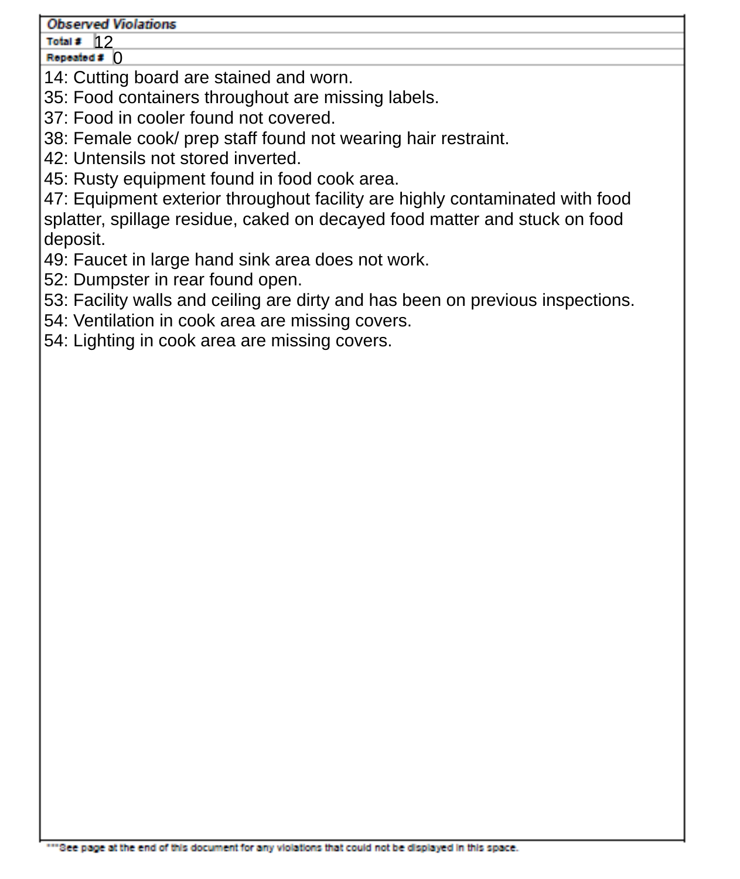#### **Observed Violations**

Total #  $12$ Repeated # 0

14: Cutting board are stained and worn.

35: Food containers throughout are missing labels.

37: Food in cooler found not covered.

38: Female cook/ prep staff found not wearing hair restraint.

- 42: Untensils not stored inverted.
- 45: Rusty equipment found in food cook area.

47: Equipment exterior throughout facility are highly contaminated with food splatter, spillage residue, caked on decayed food matter and stuck on food deposit.

- 49: Faucet in large hand sink area does not work.
- 52: Dumpster in rear found open.
- 53: Facility walls and ceiling are dirty and has been on previous inspections.
- 54: Ventilation in cook area are missing covers.

54: Lighting in cook area are missing covers.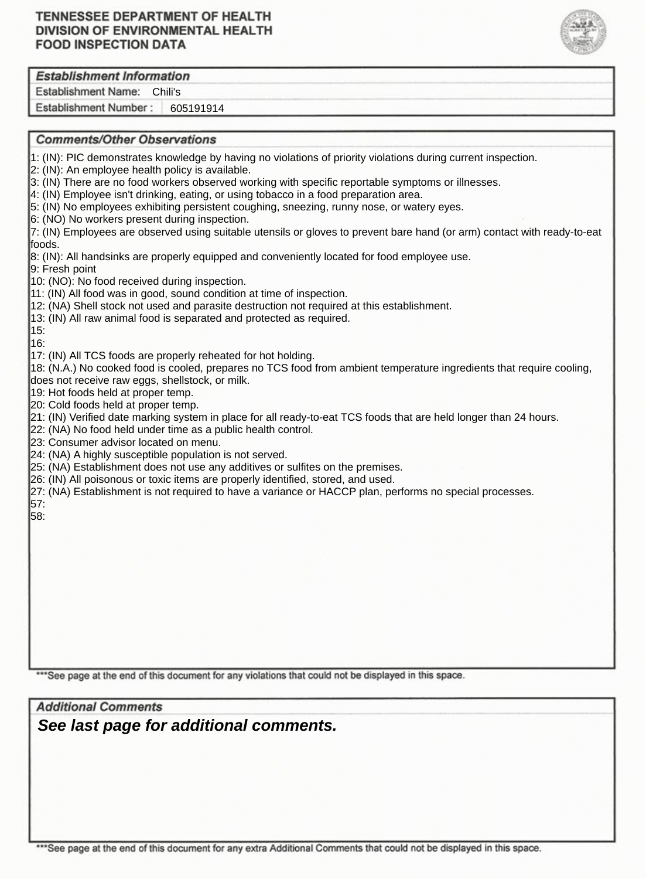### **TENNESSEE DEPARTMENT OF HEALTH** DIVISION OF ENVIRONMENTAL HEALTH **FOOD INSPECTION DATA**



Establishment Name: Chili's

Establishment Number: 605191914

### **Comments/Other Observations**

- 1: (IN): PIC demonstrates knowledge by having no violations of priority violations during current inspection.
- 2: (IN): An employee health policy is available.
- 3: (IN) There are no food workers observed working with specific reportable symptoms or illnesses.
- 4: (IN) Employee isn't drinking, eating, or using tobacco in a food preparation area.
- 5: (IN) No employees exhibiting persistent coughing, sneezing, runny nose, or watery eyes.
- 6: (NO) No workers present during inspection.

7: (IN) Employees are observed using suitable utensils or gloves to prevent bare hand (or arm) contact with ready-to-eat foods.

8: (IN): All handsinks are properly equipped and conveniently located for food employee use.

9: Fresh point

- 10: (NO): No food received during inspection.
- 11: (IN) All food was in good, sound condition at time of inspection.
- 12: (NA) Shell stock not used and parasite destruction not required at this establishment.
- 13: (IN) All raw animal food is separated and protected as required.

15: 16:

17: (IN) All TCS foods are properly reheated for hot holding.

18: (N.A.) No cooked food is cooled, prepares no TCS food from ambient temperature ingredients that require cooling, does not receive raw eggs, shellstock, or milk.

19: Hot foods held at proper temp.

- 20: Cold foods held at proper temp.
- 21: (IN) Verified date marking system in place for all ready-to-eat TCS foods that are held longer than 24 hours.
- 22: (NA) No food held under time as a public health control.
- 23: Consumer advisor located on menu.
- 24: (NA) A highly susceptible population is not served.
- 25: (NA) Establishment does not use any additives or sulfites on the premises.
- 26: (IN) All poisonous or toxic items are properly identified, stored, and used.
- 27: (NA) Establishment is not required to have a variance or HACCP plan, performs no special processes. 57:

58:

\*\*\* See page at the end of this document for any violations that could not be displayed in this space.

**Additional Comments** *See last page for additional comments.*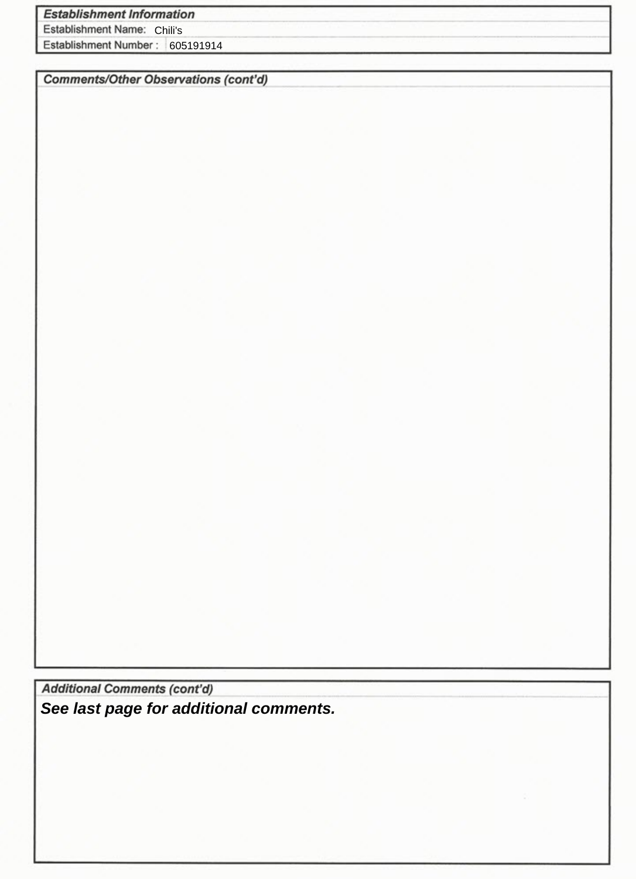# **Establishment Information**

Establishment Name: Chili's

Establishment Number: 605191914

**Comments/Other Observations (cont'd)** 

**Additional Comments (cont'd)** *See last page for additional comments.*